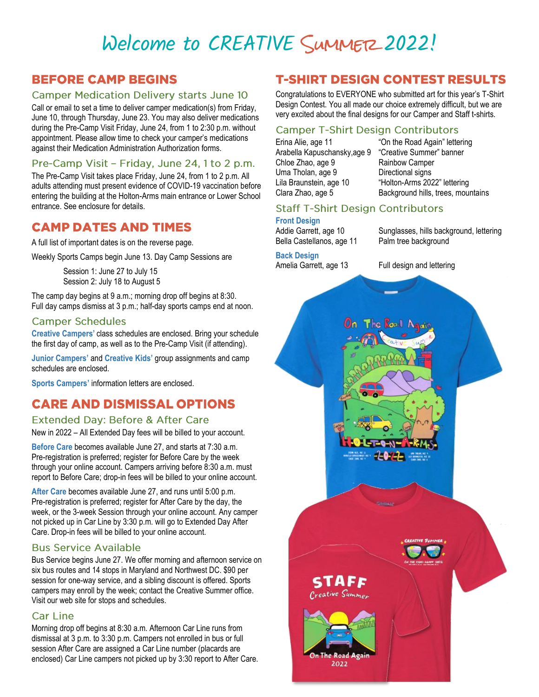# Welcome to CREATIVE SUMMER 2022!

# **BEFORE CAMP BEGINS**

#### **Camper Medication Delivery starts June 10**

Call or email to set a time to deliver camper medication(s) from Friday, June 10, through Thursday, June 23. You may also deliver medications during the Pre-Camp Visit Friday, June 24, from 1 to 2:30 p.m. without appointment. Please allow time to check your camper's medications against their Medication Administration Authorization forms.

#### Pre-Camp Visit - Friday, June 24, 1 to 2 p.m.

The Pre-Camp Visit takes place Friday, June 24, from 1 to 2 p.m. All adults attending must present evidence of COVID-19 vaccination before entering the building at the Holton-Arms main entrance or Lower School entrance. See enclosure for details.

### **CAMP DATES AND TIMES**

A full list of important dates is on the reverse page.

Weekly Sports Camps begin June 13. Day Camp Sessions are

Session 1: June 27 to July 15 Session 2: July 18 to August 5

The camp day begins at 9 a.m.; morning drop off begins at 8:30. Full day camps dismiss at 3 p.m.; half-day sports camps end at noon.

#### **Camper Schedules**

**Creative Campers'** class schedules are enclosed. Bring your schedule the first day of camp, as well as to the Pre-Camp Visit (if attending).

**Junior Campers'** and **Creative Kids'** group assignments and camp schedules are enclosed.

**Sports Campers'** information letters are enclosed.

# **CARE AND DISMISSAL OPTIONS**

#### **Extended Day: Before & After Care**

New in 2022 – All Extended Day fees will be billed to your account.

**Before Care** becomes available June 27, and starts at 7:30 a.m. Pre-registration is preferred; register for Before Care by the week through your online account. Campers arriving before 8:30 a.m. must report to Before Care; drop-in fees will be billed to your online account.

**After Care** becomes available June 27, and runs until 5:00 p.m. Pre-registration is preferred; register for After Care by the day, the week, or the 3-week Session through your online account. Any camper not picked up in Car Line by 3:30 p.m. will go to Extended Day After Care. Drop-in fees will be billed to your online account.

#### **Bus Service Available**

Bus Service begins June 27. We offer morning and afternoon service on six bus routes and 14 stops in Maryland and Northwest DC. \$90 per session for one-way service, and a sibling discount is offered. Sports campers may enroll by the week; contact the Creative Summer office. Visit our web site for stops and schedules.

#### **Car Line**

Morning drop off begins at 8:30 a.m. Afternoon Car Line runs from dismissal at 3 p.m. to 3:30 p.m. Campers not enrolled in bus or full session After Care are assigned a Car Line number (placards are enclosed) Car Line campers not picked up by 3:30 report to After Care.

# **T-SHIRT DESIGN CONTEST RESULTS**

Congratulations to EVERYONE who submitted art for this year's T-Shirt Design Contest. You all made our choice extremely difficult, but we are very excited about the final designs for our Camper and Staff t-shirts.

#### **Camper T-Shirt Design Contributors**

Erina Alie, age 11 "On the Road Again" lettering Arabella Kapuschansky,age 9 "Creative Summer" banner Chloe Zhao, age 9 **Rainbow Camper** Uma Tholan, age 9 Directional signs Lila Braunstein, age 10 "Holton-Arms 2022" lettering

Clara Zhao, age 5 Background hills, trees, mountains

#### **Staff T-Shirt Design Contributors**

#### **Front Design**

Addie Garrett, age 10 Sunglasses, hills background, lettering Bella Castellanos, age 11 Palm tree background

**Back Design** Amelia Garrett, age 13 Full design and lettering

# The Road Ad STAFF Creative Summer 2022